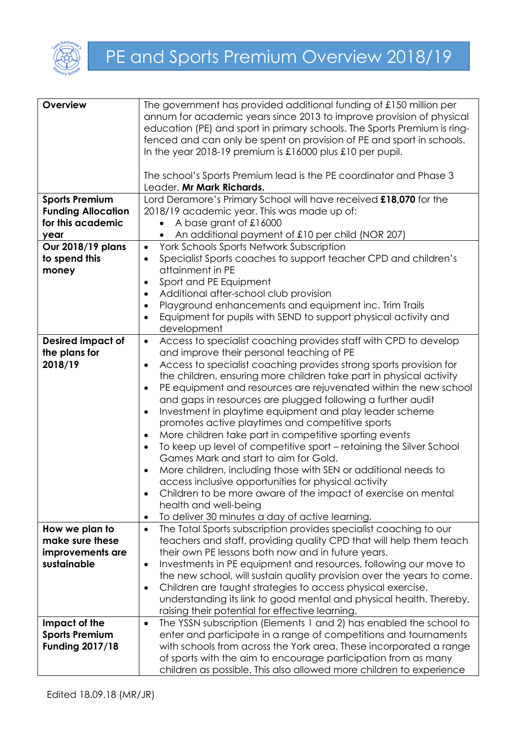

| <b>Overview</b>           | The government has provided additional funding of £150 million per               |  |  |
|---------------------------|----------------------------------------------------------------------------------|--|--|
|                           | annum for academic years since 2013 to improve provision of physical             |  |  |
|                           | education (PE) and sport in primary schools. The Sports Premium is ring-         |  |  |
|                           | fenced and can only be spent on provision of PE and sport in schools.            |  |  |
|                           | In the year 2018-19 premium is $\pounds16000$ plus $\pounds10$ per pupil.        |  |  |
|                           |                                                                                  |  |  |
|                           | The school's Sports Premium lead is the PE coordinator and Phase 3               |  |  |
|                           | Leader, Mr Mark Richards.                                                        |  |  |
| <b>Sports Premium</b>     | Lord Deramore's Primary School will have received £18,070 for the                |  |  |
| <b>Funding Allocation</b> | 2018/19 academic year. This was made up of:                                      |  |  |
| for this academic         | A base grant of £16000                                                           |  |  |
| year                      | An additional payment of £10 per child (NOR 207)                                 |  |  |
| Our 2018/19 plans         | York Schools Sports Network Subscription<br>$\bullet$                            |  |  |
| to spend this             | Specialist Sports coaches to support teacher CPD and children's<br>$\bullet$     |  |  |
| money                     | attainment in PE                                                                 |  |  |
|                           | Sport and PE Equipment<br>$\bullet$                                              |  |  |
|                           | Additional after-school club provision<br>$\bullet$                              |  |  |
|                           | Playground enhancements and equipment inc. Trim Trails<br>٠                      |  |  |
|                           | Equipment for pupils with SEND to support physical activity and<br>$\bullet$     |  |  |
|                           | development                                                                      |  |  |
| <b>Desired impact of</b>  | Access to specialist coaching provides staff with CPD to develop<br>$\bullet$    |  |  |
| the plans for             | and improve their personal teaching of PE                                        |  |  |
| 2018/19                   | Access to specialist coaching provides strong sports provision for<br>$\bullet$  |  |  |
|                           | the children, ensuring more children take part in physical activity              |  |  |
|                           | PE equipment and resources are rejuvenated within the new school<br>$\bullet$    |  |  |
|                           | and gaps in resources are plugged following a further audit                      |  |  |
|                           | Investment in playtime equipment and play leader scheme<br>$\bullet$             |  |  |
|                           | promotes active playtimes and competitive sports                                 |  |  |
|                           | More children take part in competitive sporting events                           |  |  |
|                           | To keep up level of competitive sport – retaining the Silver School<br>$\bullet$ |  |  |
|                           | Games Mark and start to aim for Gold.                                            |  |  |
|                           | More children, including those with SEN or additional needs to<br>$\bullet$      |  |  |
|                           | access inclusive opportunities for physical activity                             |  |  |
|                           | Children to be more aware of the impact of exercise on mental                    |  |  |
|                           | health and well-being                                                            |  |  |
|                           | To deliver 30 minutes a day of active learning.<br>$\bullet$                     |  |  |
| How we plan to            | The Total Sports subscription provides specialist coaching to our<br>$\bullet$   |  |  |
| make sure these           | teachers and staff, providing quality CPD that will help them teach              |  |  |
| improvements are          | their own PE lessons both now and in future years.                               |  |  |
| sustainable               | Investments in PE equipment and resources, following our move to<br>$\bullet$    |  |  |
|                           | the new school, will sustain quality provision over the years to come.           |  |  |
|                           | Children are taught strategies to access physical exercise,<br>٠                 |  |  |
|                           | understanding its link to good mental and physical health. Thereby,              |  |  |
|                           | raising their potential for effective learning.                                  |  |  |
| Impact of the             | The YSSN subscription (Elements 1 and 2) has enabled the school to<br>$\bullet$  |  |  |
| <b>Sports Premium</b>     | enter and participate in a range of competitions and tournaments                 |  |  |
| <b>Funding 2017/18</b>    | with schools from across the York area. These incorporated a range               |  |  |
|                           | of sports with the aim to encourage participation from as many                   |  |  |
|                           | children as possible. This also allowed more children to experience              |  |  |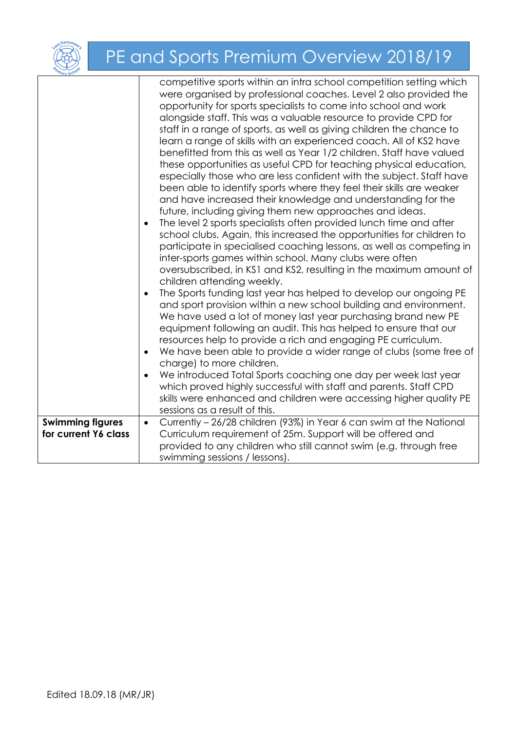

## PE and Sports Premium Overview 2018/19

|                                                 | competitive sports within an intra school competition setting which<br>were organised by professional coaches. Level 2 also provided the<br>opportunity for sports specialists to come into school and work<br>alongside staff. This was a valuable resource to provide CPD for<br>staff in a range of sports, as well as giving children the chance to<br>learn a range of skills with an experienced coach. All of KS2 have<br>benefitted from this as well as Year 1/2 children. Staff have valued<br>these opportunities as useful CPD for teaching physical education,<br>especially those who are less confident with the subject. Staff have<br>been able to identify sports where they feel their skills are weaker<br>and have increased their knowledge and understanding for the<br>future, including giving them new approaches and ideas.<br>The level 2 sports specialists often provided lunch time and after<br>$\bullet$<br>school clubs. Again, this increased the opportunities for children to<br>participate in specialised coaching lessons, as well as competing in<br>inter-sports games within school. Many clubs were often<br>oversubscribed, in KS1 and KS2, resulting in the maximum amount of<br>children attending weekly.<br>The Sports funding last year has helped to develop our ongoing PE<br>$\bullet$<br>and sport provision within a new school building and environment.<br>We have used a lot of money last year purchasing brand new PE<br>equipment following an audit. This has helped to ensure that our<br>resources help to provide a rich and engaging PE curriculum.<br>We have been able to provide a wider range of clubs (some free of<br>charge) to more children.<br>We introduced Total Sports coaching one day per week last year<br>which proved highly successful with staff and parents. Staff CPD<br>skills were enhanced and children were accessing higher quality PE<br>sessions as a result of this. |
|-------------------------------------------------|----------------------------------------------------------------------------------------------------------------------------------------------------------------------------------------------------------------------------------------------------------------------------------------------------------------------------------------------------------------------------------------------------------------------------------------------------------------------------------------------------------------------------------------------------------------------------------------------------------------------------------------------------------------------------------------------------------------------------------------------------------------------------------------------------------------------------------------------------------------------------------------------------------------------------------------------------------------------------------------------------------------------------------------------------------------------------------------------------------------------------------------------------------------------------------------------------------------------------------------------------------------------------------------------------------------------------------------------------------------------------------------------------------------------------------------------------------------------------------------------------------------------------------------------------------------------------------------------------------------------------------------------------------------------------------------------------------------------------------------------------------------------------------------------------------------------------------------------------------------------------------------------------------------------------------------------------------------------|
| <b>Swimming figures</b><br>for current Y6 class | Currently - 26/28 children (93%) in Year 6 can swim at the National<br>$\bullet$<br>Curriculum requirement of 25m. Support will be offered and<br>provided to any children who still cannot swim (e.g. through free<br>swimming sessions / lessons).                                                                                                                                                                                                                                                                                                                                                                                                                                                                                                                                                                                                                                                                                                                                                                                                                                                                                                                                                                                                                                                                                                                                                                                                                                                                                                                                                                                                                                                                                                                                                                                                                                                                                                                 |